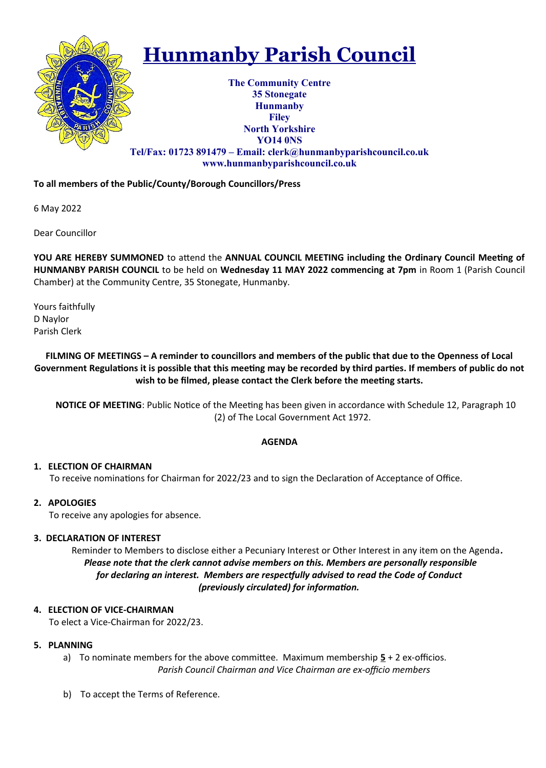

# **Hunmanby Parish Council**

**The Community Centre 35 Stonegate Hunmanby Filey North Yorkshire YO14 0NS Tel/Fax: 01723 891479 – Email: clerk@hunmanbyparishcouncil.co.uk www.hunmanbyparishcouncil.co.uk**

# **To all members of the Public/County/Borough Councillors/Press**

6 May 2022

Dear Councillor

**YOU ARE HEREBY SUMMONED** to attend the **ANNUAL COUNCIL MEETING including the Ordinary Council Meeting of HUNMANBY PARISH COUNCIL** to be held on **Wednesday 11 MAY 2022 commencing at 7pm** in Room 1 (Parish Council Chamber) at the Community Centre, 35 Stonegate, Hunmanby.

Yours faithfully D Naylor Parish Clerk

# **FILMING OF MEETINGS – A reminder to councillors and members of the public that due to the Openness of Local Government Regulations it is possible that this meeting may be recorded by third parties. If members of public do not wish to be filmed, please contact the Clerk before the meeting starts.**

**NOTICE OF MEETING**: Public Notice of the Meeting has been given in accordance with Schedule 12, Paragraph 10 (2) of The Local Government Act 1972.

# **AGENDA**

# **1. ELECTION OF CHAIRMAN**

To receive nominations for Chairman for 2022/23 and to sign the Declaration of Acceptance of Office.

# **2. APOLOGIES**

To receive any apologies for absence.

# **3. DECLARATION OF INTEREST**

 Reminder to Members to disclose either a Pecuniary Interest or Other Interest in any item on the Agenda*. Please note that the clerk cannot advise members on this. Members are personally responsible for declaring an interest. Members are respectfully advised to read the Code of Conduct (previously circulated) for information.*

# **4. ELECTION OF VICE-CHAIRMAN**

To elect a Vice-Chairman for 2022/23.

# **5. PLANNING**

- a) To nominate members for the above committee. Maximum membership **5** + 2 ex-officios. *Parish Council Chairman and Vice Chairman are ex-officio members*
- b) To accept the Terms of Reference.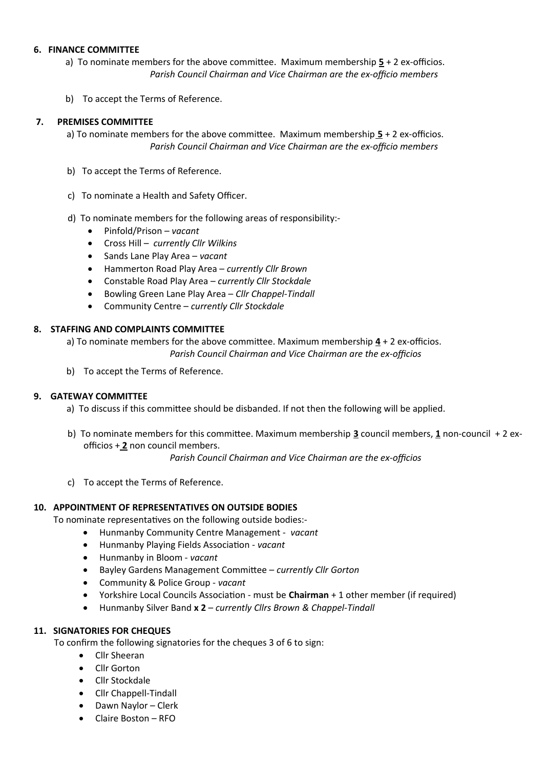#### **6. FINANCE COMMITTEE**

- a) To nominate members for the above committee. Maximum membership **5** + 2 ex-officios. *Parish Council Chairman and Vice Chairman are the ex-officio members*
- b) To accept the Terms of Reference.

#### **7. PREMISES COMMITTEE**

a) To nominate members for the above committee. Maximum membership **5** + 2 ex-officios. *Parish Council Chairman and Vice Chairman are the ex-officio members* 

- b) To accept the Terms of Reference.
- c) To nominate a Health and Safety Officer.
- d) To nominate members for the following areas of responsibility:-
	- Pinfold/Prison – *vacant*
	- Cross Hill *currently Cllr Wilkins*
	- Sands Lane Play Area *vacant*
	- Hammerton Road Play Area *currently Cllr Brown*
	- Constable Road Play Area – *currently Cllr Stockdale*
	- Bowling Green Lane Play Area *Cllr Chappel-Tindall*
	- Community Centre *currently Cllr Stockdale*

#### **8. STAFFING AND COMPLAINTS COMMITTEE**

a) To nominate members for the above committee. Maximum membership  $\frac{4}{1}$  + 2 ex-officios. *Parish Council Chairman and Vice Chairman are the ex-officios* 

b) To accept the Terms of Reference.

# **9. GATEWAY COMMITTEE**

- a) To discuss if this committee should be disbanded. If not then the following will be applied.
- b) To nominate members for this committee. Maximum membership **3** council members, **1** non-council + 2 ex officios + **2** non council members.

*Parish Council Chairman and Vice Chairman are the ex-officios* 

c) To accept the Terms of Reference.

# **10. APPOINTMENT OF REPRESENTATIVES ON OUTSIDE BODIES**

To nominate representatives on the following outside bodies:-

- Hunmanby Community Centre Management *vacant*
- Hunmanby Playing Fields Association *vacant*
- Hunmanby in Bloom - *vacant*
- Bayley Gardens Management Committee *currently Cllr Gorton*
- Community & Police Group *vacant*
- Yorkshire Local Councils Association must be **Chairman** + 1 other member (if required)
- Hunmanby Silver Band **x 2**  *currently Cllrs Brown & Chappel-Tindall*

# **11. SIGNATORIES FOR CHEQUES**

To confirm the following signatories for the cheques 3 of 6 to sign:

- Cllr Sheeran
- Cllr Gorton
- Cllr Stockdale
- Cllr Chappell-Tindall
- Dawn Naylor Clerk
- Claire Boston RFO